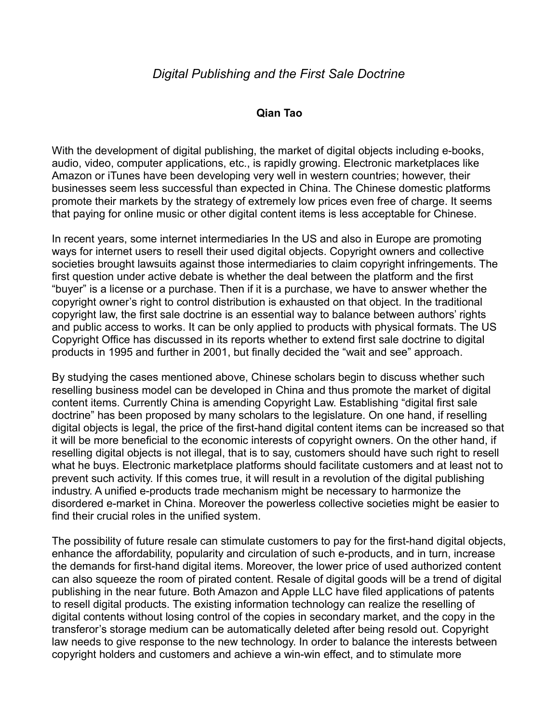## **Qian Tao**

With the development of digital publishing, the market of digital objects including e-books, audio, video, computer applications, etc., is rapidly growing. Electronic marketplaces like Amazon or iTunes have been developing very well in western countries; however, their businesses seem less successful than expected in China. The Chinese domestic platforms promote their markets by the strategy of extremely low prices even free of charge. It seems that paying for online music or other digital content items is less acceptable for Chinese.

In recent years, some internet intermediaries In the US and also in Europe are promoting ways for internet users to resell their used digital objects. Copyright owners and collective societies brought lawsuits against those intermediaries to claim copyright infringements. The first question under active debate is whether the deal between the platform and the first "buyer" is a license or a purchase. Then if it is a purchase, we have to answer whether the copyright owner's right to control distribution is exhausted on that object. In the traditional copyright law, the first sale doctrine is an essential way to balance between authors' rights and public access to works. It can be only applied to products with physical formats. The US Copyright Office has discussed in its reports whether to extend first sale doctrine to digital products in 1995 and further in 2001, but finally decided the "wait and see" approach.

By studying the cases mentioned above, Chinese scholars begin to discuss whether such reselling business model can be developed in China and thus promote the market of digital content items. Currently China is amending Copyright Law. Establishing "digital first sale doctrine" has been proposed by many scholars to the legislature. On one hand, if reselling digital objects is legal, the price of the first-hand digital content items can be increased so that it will be more beneficial to the economic interests of copyright owners. On the other hand, if reselling digital objects is not illegal, that is to say, customers should have such right to resell what he buys. Electronic marketplace platforms should facilitate customers and at least not to prevent such activity. If this comes true, it will result in a revolution of the digital publishing industry. A unified e-products trade mechanism might be necessary to harmonize the disordered e-market in China. Moreover the powerless collective societies might be easier to find their crucial roles in the unified system.

The possibility of future resale can stimulate customers to pay for the first-hand digital objects, enhance the affordability, popularity and circulation of such e-products, and in turn, increase the demands for first-hand digital items. Moreover, the lower price of used authorized content can also squeeze the room of pirated content. Resale of digital goods will be a trend of digital publishing in the near future. Both Amazon and Apple LLC have filed applications of patents to resell digital products. The existing information technology can realize the reselling of digital contents without losing control of the copies in secondary market, and the copy in the transferor's storage medium can be automatically deleted after being resold out. Copyright law needs to give response to the new technology. In order to balance the interests between copyright holders and customers and achieve a win-win effect, and to stimulate more